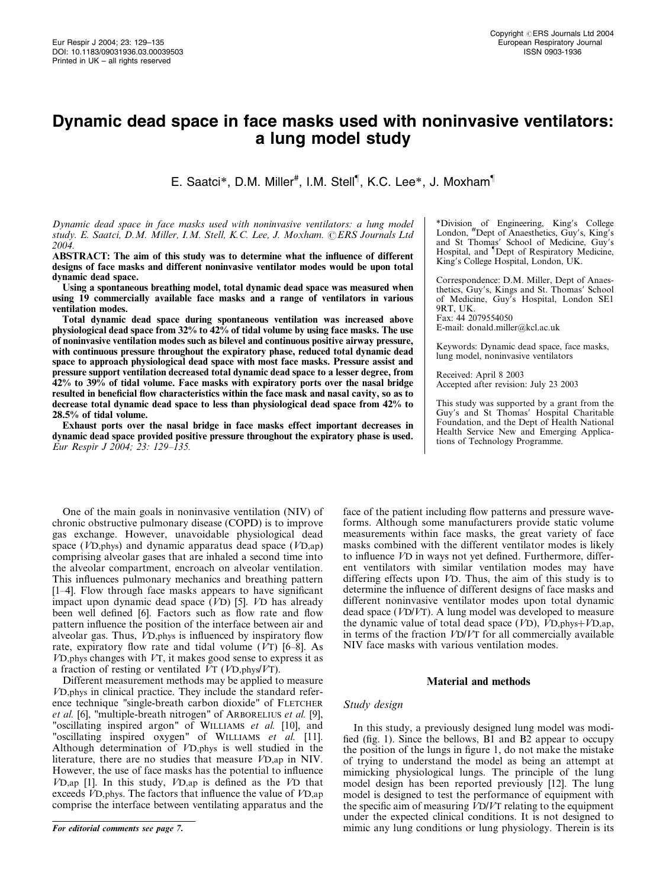# Dynamic dead space in face masks used with noninvasive ventilators: a lung model study

E. Saatci\*, D.M. Miller<sup>#</sup>, I.M. Stell<sup>1</sup>, K.C. Lee\*, J. Moxham<sup>1</sup>

## Dynamic dead space in face masks used with noninvasive ventilators: a lung model study. E. Saatci, D.M. Miller, I.M. Stell, K.C. Lee, J. Moxham. ©ERS Journals Ltd 2004.

ABSTRACT: The aim of this study was to determine what the influence of different designs of face masks and different noninvasive ventilator modes would be upon total dynamic dead space.

Using a spontaneous breathing model, total dynamic dead space was measured when using 19 commercially available face masks and a range of ventilators in various ventilation modes.

Total dynamic dead space during spontaneous ventilation was increased above physiological dead space from  $32\%$  to  $42\%$  of tidal volume by using face masks. The use of noninvasive ventilation modes such as bilevel and continuous positive airway pressure, with continuous pressure throughout the expiratory phase, reduced total dynamic dead space to approach physiological dead space with most face masks. Pressure assist and pressure support ventilation decreased total dynamic dead space to a lesser degree, from 42% to 39% of tidal volume. Face masks with expiratory ports over the nasal bridge resulted in beneficial flow characteristics within the face mask and nasal cavity, so as to decrease total dynamic dead space to less than physiological dead space from 42% to 28.5% of tidal volume.

Exhaust ports over the nasal bridge in face masks effect important decreases in dynamic dead space provided positive pressure throughout the expiratory phase is used. Eur Respir J  $2004$ ;  $23$ :  $129 - 135$ .

One of the main goals in noninvasive ventilation (NIV) of chronic obstructive pulmonary disease (COPD) is to improve gas exchange. However, unavoidable physiological dead space (VD,phys) and dynamic apparatus dead space (VD,ap) comprising alveolar gases that are inhaled a second time into the alveolar compartment, encroach on alveolar ventilation. This influences pulmonary mechanics and breathing pattern [1–4]. Flow through face masks appears to have significant impact upon dynamic dead space (VD) [5]. VD has already been well defined [6]. Factors such as flow rate and flow pattern influence the position of the interface between air and alveolar gas. Thus, VD,phys is influenced by inspiratory flow rate, expiratory flow rate and tidal volume  $(VT)$  [6–8]. As  $VD$ , phys changes with  $VT$ , it makes good sense to express it as a fraction of resting or ventilated  $V\text{T}$  ( $V\text{D,phys}/V\text{T}$ ).

Different measurement methods may be applied to measure VD,phys in clinical practice. They include the standard reference technique "single-breath carbon dioxide" of FLETCHER et al. [6], "multiple-breath nitrogen" of ARBORELIUS et al. [9], "oscillating inspired argon" of WILLIAMS et al. [10], and "oscillating inspired oxygen" of WILLIAMS et al. [11]. Although determination of VD,phys is well studied in the literature, there are no studies that measure VD,ap in NIV. However, the use of face masks has the potential to influence VD,ap [1]. In this study, VD,ap is defined as the VD that exceeds VD,phys. The factors that influence the value of VD,ap comprise the interface between ventilating apparatus and the

\*Division of Engineering, King's College<br>London, #Dept of Anaesthetics, Guy's, King's and St Thomas' School of Medicine, Guy's<br>Hospital, and <sup>¶</sup>Dept of Respiratory Medicine, King's College Hospital, London, UK.

Correspondence: D.M. Miller, Dept of Anaesthetics, Guy's, Kings and St. Thomas' School of Medicine, Guy's Hospital, London SE1 9RT, UK. Fax: 44 2079554050

E-mail: donald.miller@kcl.ac.uk

Keywords: Dynamic dead space, face masks, lung model, noninvasive ventilators

Received: April 8 2003 Accepted after revision: July 23 2003

This study was supported by a grant from the Guy's and St Thomas' Hospital Charitable Foundation, and the Dept of Health National Health Service New and Emerging Applications of Technology Programme.

face of the patient including flow patterns and pressure waveforms. Although some manufacturers provide static volume measurements within face masks, the great variety of face masks combined with the different ventilator modes is likely to influence VD in ways not yet defined. Furthermore, different ventilators with similar ventilation modes may have differing effects upon VD. Thus, the aim of this study is to determine the influence of different designs of face masks and different noninvasive ventilator modes upon total dynamic dead space (VD/VT). A lung model was developed to measure the dynamic value of total dead space  $(VD)$ ,  $\overline{V}D$ ,  $\overline{P}D$ ,  $\overline{P}D$ ,  $\overline{P}D$ ,  $\overline{P}D$ ,  $\overline{P}D$ ,  $\overline{P}D$ ,  $\overline{P}D$ ,  $\overline{P}D$ ,  $\overline{P}D$ ,  $\overline{P}D$ ,  $\overline{P}D$ ,  $\overline{P}D$ ,  $\overline{P}D$ ,  $\overline{P}D$ ,  $\overline{P}D$ , in terms of the fraction VD/VT for all commercially available NIV face masks with various ventilation modes.

## Material and methods

# Study design

In this study, a previously designed lung model was modified (fig. 1). Since the bellows, B1 and B2 appear to occupy the position of the lungs in figure 1, do not make the mistake of trying to understand the model as being an attempt at mimicking physiological lungs. The principle of the lung model design has been reported previously [12]. The lung model is designed to test the performance of equipment with the specific aim of measuring  $\hat{V}D/VT$  relating to the equipment under the expected clinical conditions. It is not designed to For editorial comments see page 7. mimic any lung conditions or lung physiology. Therein is its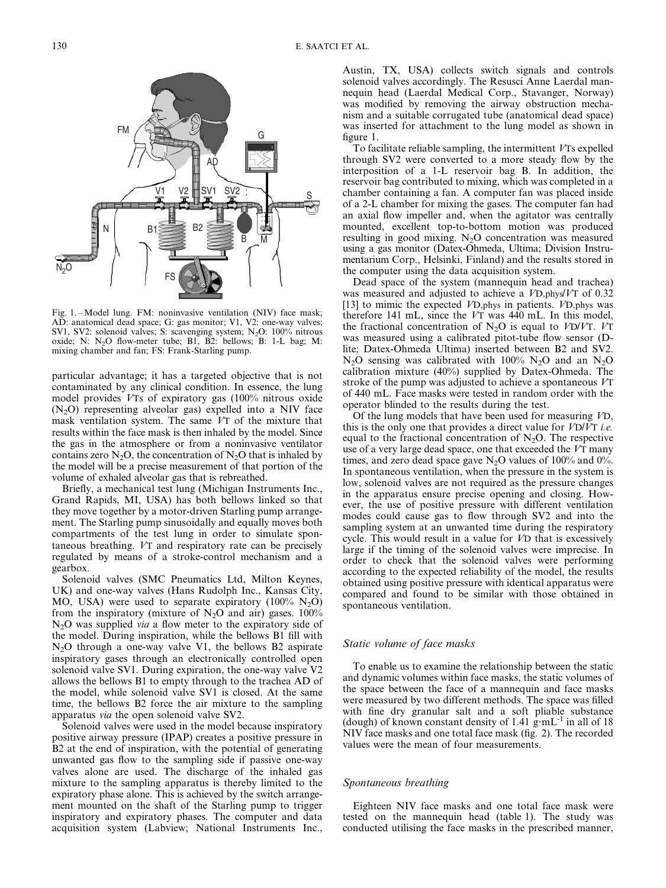

Fig. 1. – Model lung. FM: noninvasive ventilation (NIV) face mask; AD: anatomical dead space; G: gas monitor; V1, V2: one-way valves; SV1, SV2: solenoid valves; S: scavenging system; N<sub>2</sub>O: 100% nitrous oxide; N:  $N_2O$  flow-meter tube; B1, B2: bellows; B: 1-L bag; M: mixing chamber and fan; FS: Frank-Starling pump.

particular advantage; it has a targeted objective that is not contaminated by any clinical condition. In essence, the lung model provides VTs of expiratory gas (100% nitrous oxide  $(N_2O)$  representing alveolar gas) expelled into a NIV face mask ventilation system. The same VT of the mixture that results within the face mask is then inhaled by the model. Since the gas in the atmosphere or from a noninvasive ventilator contains zero  $N_2O$ , the concentration of  $N_2O$  that is inhaled by the model will be a precise measurement of that portion of the volume of exhaled alveolar gas that is rebreathed.

Briefly, a mechanical test lung (Michigan Instruments Inc., Grand Rapids, MI, USA) has both bellows linked so that they move together by a motor-driven Starling pump arrangement. The Starling pump sinusoidally and equally moves both compartments of the test lung in order to simulate spontaneous breathing. VT and respiratory rate can be precisely regulated by means of a stroke-control mechanism and a gearbox.

Solenoid valves (SMC Pneumatics Ltd, Milton Keynes, UK) and one-way valves (Hans Rudolph Inc., Kansas City, MO, USA) were used to separate expiratory (100%  $N_2O$ ) from the inspiratory (mixture of  $N_2O$  and air) gases.  $100\%$  $N<sub>2</sub>O$  was supplied *via* a flow meter to the expiratory side of the model. During inspiration, while the bellows B1 fill with  $N<sub>2</sub>O$  through a one-way valve V1, the bellows B2 aspirate inspiratory gases through an electronically controlled open solenoid valve SV1. During expiration, the one-way valve V2 allows the bellows B1 to empty through to the trachea AD of the model, while solenoid valve SV1 is closed. At the same time, the bellows B2 force the air mixture to the sampling apparatus via the open solenoid valve SV2.

Solenoid valves were used in the model because inspiratory positive airway pressure (IPAP) creates a positive pressure in B2 at the end of inspiration, with the potential of generating unwanted gas flow to the sampling side if passive one-way valves alone are used. The discharge of the inhaled gas mixture to the sampling apparatus is thereby limited to the expiratory phase alone. This is achieved by the switch arrangement mounted on the shaft of the Starling pump to trigger inspiratory and expiratory phases. The computer and data acquisition system (Labview; National Instruments Inc.,

Austin, TX, USA) collects switch signals and controls solenoid valves accordingly. The Resusci Anne Laerdal mannequin head (Laerdal Medical Corp., Stavanger, Norway) was modified by removing the airway obstruction mechanism and a suitable corrugated tube (anatomical dead space) was inserted for attachment to the lung model as shown in figure 1.

To facilitate reliable sampling, the intermittent VTs expelled through SV2 were converted to a more steady flow by the interposition of a 1-L reservoir bag B. In addition, the reservoir bag contributed to mixing, which was completed in a chamber containing a fan. A computer fan was placed inside of a 2-L chamber for mixing the gases. The computer fan had an axial flow impeller and, when the agitator was centrally mounted, excellent top-to-bottom motion was produced resulting in good mixing.  $N_2O$  concentration was measured using a gas monitor (Datex-Ohmeda, Ultima; Division Instrumentarium Corp., Helsinki, Finland) and the results stored in the computer using the data acquisition system.

Dead space of the system (mannequin head and trachea) was measured and adjusted to achieve a VD,phys/VT of 0.32 [13] to mimic the expected *V*D, phys in patients. *VD*, phys was therefore 141 mL, since the VT was 440 mL. In this model, the fractional concentration of  $N_2O$  is equal to  $VD/VT$ .  $VTT$ was measured using a calibrated pitot-tube flow sensor (Dlite; Datex-Ohmeda Ultima) inserted between B2 and SV2.  $N_2O$  sensing was calibrated with 100%  $N_2O$  and an  $N_2O$ calibration mixture (40%) supplied by Datex-Ohmeda. The stroke of the pump was adjusted to achieve a spontaneous VT of 440 mL. Face masks were tested in random order with the operator blinded to the results during the test.

Of the lung models that have been used for measuring VD, this is the only one that provides a direct value for  $VD/VT$  *i.e.* equal to the fractional concentration of  $N_2O$ . The respective use of a very large dead space, one that exceeded the VT many times, and zero dead space gave  $N_2O$  values of 100% and 0%. In spontaneous ventilation, when the pressure in the system is low, solenoid valves are not required as the pressure changes in the apparatus ensure precise opening and closing. However, the use of positive pressure with different ventilation modes could cause gas to flow through SV2 and into the sampling system at an unwanted time during the respiratory cycle. This would result in a value for VD that is excessively large if the timing of the solenoid valves were imprecise. In order to check that the solenoid valves were performing according to the expected reliability of the model, the results obtained using positive pressure with identical apparatus were compared and found to be similar with those obtained in spontaneous ventilation.

## Static volume of face masks

To enable us to examine the relationship between the static and dynamic volumes within face masks, the static volumes of the space between the face of a mannequin and face masks were measured by two different methods. The space was filled with fine dry granular salt and a soft pliable substance (dough) of known constant density of 1.41  $g·mL^{-1}$  in all of 18 NIV face masks and one total face mask (fig. 2). The recorded values were the mean of four measurements.

#### Spontaneous breathing

Eighteen NIV face masks and one total face mask were tested on the mannequin head (table 1). The study was conducted utilising the face masks in the prescribed manner,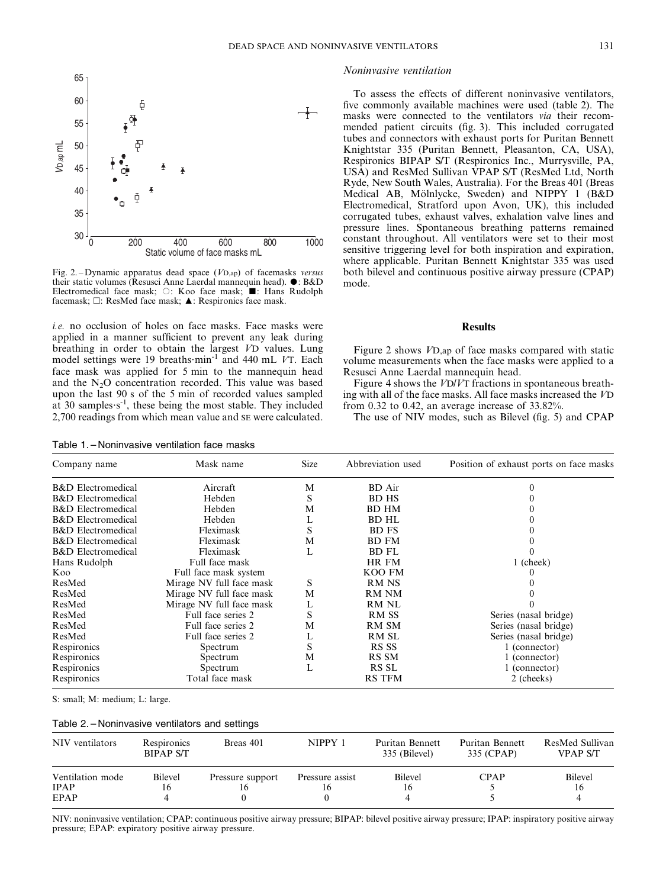

Fig. 2. – Dynamic apparatus dead space  $(V_{D,ap})$  of facemasks versus their static volumes (Resusci Anne Laerdal mannequin head).  $\bullet$ : B&D Electromedical face mask;  $\bigcirc$ : Koo face mask;  $\blacksquare$ : Hans Rudolph facemask;  $\Box$ : ResMed face mask;  $\blacktriangle$ : Respironics face mask.

i.e. no occlusion of holes on face masks. Face masks were applied in a manner sufficient to prevent any leak during breathing in order to obtain the largest VD values. Lung model settings were 19 breaths $\cdot$ min<sup>-1</sup> and 440 mL VT. Each face mask was applied for 5 min to the mannequin head and the  $N_2O$  concentration recorded. This value was based upon the last 90 s of the 5 min of recorded values sampled at 30 samples $s^{-1}$ , these being the most stable. They included 2,700 readings from which mean value and SE were calculated.

Table 1. – Noninvasive ventilation face masks

## Noninvasive ventilation

To assess the effects of different noninvasive ventilators, five commonly available machines were used (table 2). The masks were connected to the ventilators via their recommended patient circuits (fig. 3). This included corrugated tubes and connectors with exhaust ports for Puritan Bennett Knightstar 335 (Puritan Bennett, Pleasanton, CA, USA), Respironics BIPAP S/T (Respironics Inc., Murrysville, PA, USA) and ResMed Sullivan VPAP S/T (ResMed Ltd, North Ryde, New South Wales, Australia). For the Breas 401 (Breas Medical AB, Mölnlycke, Sweden) and NIPPY 1 (B&D Electromedical, Stratford upon Avon, UK), this included corrugated tubes, exhaust valves, exhalation valve lines and pressure lines. Spontaneous breathing patterns remained constant throughout. All ventilators were set to their most sensitive triggering level for both inspiration and expiration, where applicable. Puritan Bennett Knightstar 335 was used both bilevel and continuous positive airway pressure (CPAP) mode.

# Results

Figure 2 shows VD,ap of face masks compared with static volume measurements when the face masks were applied to a Resusci Anne Laerdal mannequin head.

Figure 4 shows the VD/VT fractions in spontaneous breathing with all of the face masks. All face masks increased the VD from 0.32 to 0.42, an average increase of 33.82%.

The use of NIV modes, such as Bilevel (fig. 5) and CPAP

| Company name                  | Mask name                | <b>Size</b> | Abbreviation used | Position of exhaust ports on face masks |  |
|-------------------------------|--------------------------|-------------|-------------------|-----------------------------------------|--|
| <b>B&amp;D</b> Electromedical | Aircraft                 | M           | <b>BD</b> Air     |                                         |  |
| <b>B&amp;D</b> Electromedical | Hebden                   | S           | <b>BD HS</b>      |                                         |  |
| <b>B&amp;D</b> Electromedical | Hebden                   | М           | <b>BD HM</b>      |                                         |  |
| <b>B&amp;D</b> Electromedical | Hebden                   | L           | <b>BD HL</b>      |                                         |  |
| <b>B&amp;D</b> Electromedical | Fleximask                | S           | <b>BD FS</b>      |                                         |  |
| <b>B&amp;D</b> Electromedical | Fleximask                | М           | <b>BD FM</b>      |                                         |  |
| <b>B&amp;D</b> Electromedical | Fleximask                | L           | <b>BD FL</b>      |                                         |  |
| Hans Rudolph                  | Full face mask           |             | HR FM             | 1 (cheek)                               |  |
| Koo                           | Full face mask system    |             | <b>KOO FM</b>     |                                         |  |
| ResMed                        | Mirage NV full face mask | S           | <b>RM NS</b>      |                                         |  |
| ResMed                        | Mirage NV full face mask | М           | RM NM             |                                         |  |
| ResMed                        | Mirage NV full face mask | L           | RM NL             |                                         |  |
| ResMed                        | Full face series 2       | S           | RM SS             | Series (nasal bridge)                   |  |
| ResMed                        | Full face series 2       | М           | RM SM             | Series (nasal bridge)                   |  |
| ResMed                        | Full face series 2       | L           | RM SL             | Series (nasal bridge)                   |  |
| Respironics                   | Spectrum                 | S           | RS SS             | 1 (connector)                           |  |
| Respironics                   | Spectrum                 | M           | RS SM             | (connector)                             |  |
| Respironics                   | Spectrum                 | L           | RS SL             | 1 (connector)                           |  |
| Respironics                   | Total face mask          |             | <b>RS TFM</b>     | 2 (cheeks)                              |  |

S: small; M: medium; L: large.

Table 2. – Noninvasive ventilators and settings

| NIV ventilators  | Respironics<br><b>BIPAP S/T</b> | Breas 401        | NIPPY 1         | Puritan Bennett<br>335 (Bilevel) | Puritan Bennett<br>335 (CPAP) | ResMed Sullivan<br><b>VPAP S/T</b> |
|------------------|---------------------------------|------------------|-----------------|----------------------------------|-------------------------------|------------------------------------|
| Ventilation mode | Bilevel                         | Pressure support | Pressure assist | <b>Bilevel</b>                   | <b>CPAP</b>                   | <b>Bilevel</b>                     |
| <b>IPAP</b>      | 16                              |                  |                 | 16                               |                               | 16                                 |
| EPAP             |                                 |                  |                 |                                  |                               | 4                                  |

NIV: noninvasive ventilation; CPAP: continuous positive airway pressure; BIPAP: bilevel positive airway pressure; IPAP: inspiratory positive airway pressure; EPAP: expiratory positive airway pressure.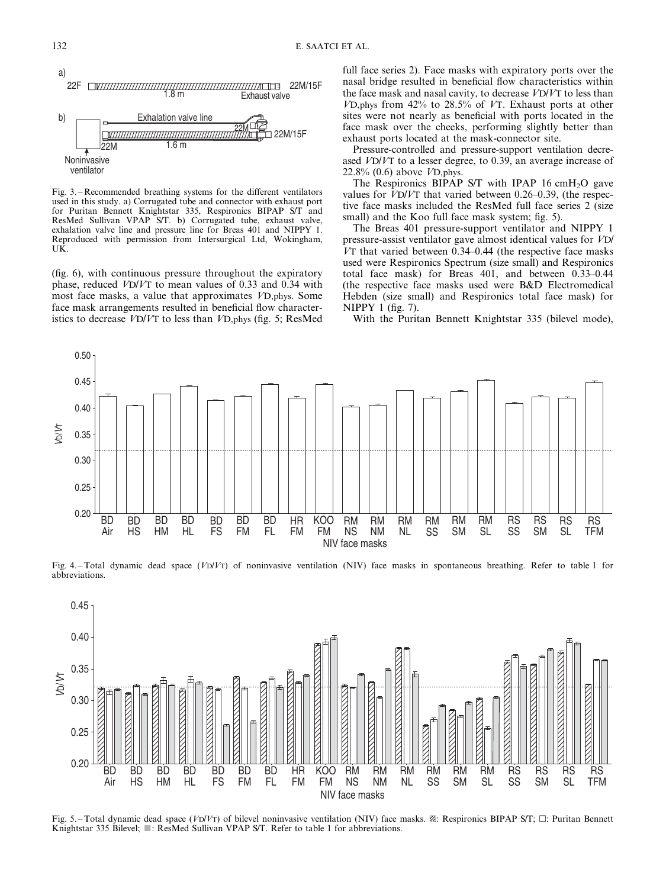

Fig. 3. – Recommended breathing systems for the different ventilators used in this study. a) Corrugated tube and connector with exhaust port for Puritan Bennett Knightstar 335, Respironics BIPAP S/T and ResMed Sullivan VPAP S/T. b) Corrugated tube, exhaust valve, exhalation valve line and pressure line for Breas 401 and NIPPY 1. Reproduced with permission from Intersurgical Ltd, Wokingham, UK.

(fig. 6), with continuous pressure throughout the expiratory phase, reduced VD/VT to mean values of 0.33 and 0.34 with most face masks, a value that approximates VD,phys. Some face mask arrangements resulted in beneficial flow characteristics to decrease VD/VT to less than VD,phys (fig. 5; ResMed

full face series 2). Face masks with expiratory ports over the nasal bridge resulted in beneficial flow characteristics within the face mask and nasal cavity, to decrease VD/VT to less than VD,phys from 42% to 28.5% of VT. Exhaust ports at other sites were not nearly as beneficial with ports located in the face mask over the cheeks, performing slightly better than exhaust ports located at the mask-connector site.

Pressure-controlled and pressure-support ventilation decreased VD/VT to a lesser degree, to 0.39, an average increase of  $22.8\%$  (0.6) above *V*D, phys.

The Respironics BIPAP S/T with IPAP 16 cmH<sub>2</sub>O gave values for  $\overline{V}D/VT$  that varied between 0.26–0.39, (the respective face masks included the ResMed full face series 2 (size small) and the Koo full face mask system; fig. 5).

The Breas 401 pressure-support ventilator and NIPPY 1 pressure-assist ventilator gave almost identical values for VD/ VT that varied between 0.34–0.44 (the respective face masks used were Respironics Spectrum (size small) and Respironics total face mask) for Breas 401, and between 0.33–0.44 (the respective face masks used were B&D Electromedical Hebden (size small) and Respironics total face mask) for NIPPY 1 (fig. 7).

With the Puritan Bennett Knightstar 335 (bilevel mode),



Fig. 4. – Total dynamic dead space  $(VD/VT)$  of noninvasive ventilation (NIV) face masks in spontaneous breathing. Refer to table 1 for abbreviations.



Fig. 5. – Total dynamic dead space (VD/VT) of bilevel noninvasive ventilation (NIV) face masks. Z: Respironics BIPAP S/T;  $\Box$ : Puritan Bennett Knightstar 335 Bilevel;  $\blacksquare$ : ResMed Sullivan VPAP S/T. Refer to table 1 for abbreviations.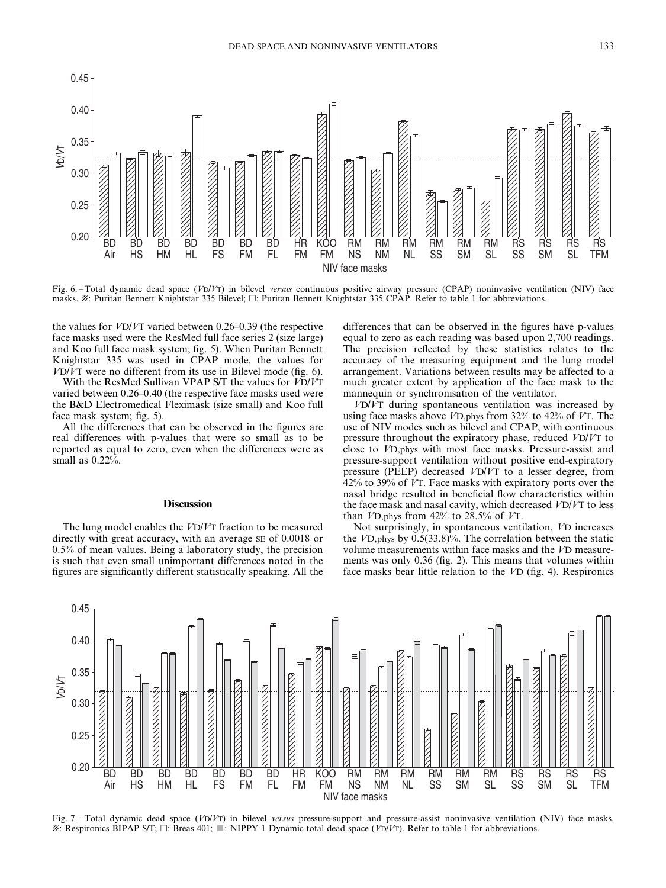

Fig. 6.-Total dynamic dead space (VD/VT) in bilevel versus continuous positive airway pressure (CPAP) noninvasive ventilation (NIV) face masks. Z: Puritan Bennett Knightstar 335 Bilevel;  $\Box$ : Puritan Bennett Knightstar 335 CPAP. Refer to table 1 for abbreviations.

the values for VD/VT varied between 0.26–0.39 (the respective face masks used were the ResMed full face series 2 (size large) and Koo full face mask system; fig. 5). When Puritan Bennett Knightstar 335 was used in CPAP mode, the values for VD/VT were no different from its use in Bilevel mode (fig. 6).

With the ResMed Sullivan VPAP S/T the values for  $\widehat{VD}/\widehat{V}$ T varied between 0.26–0.40 (the respective face masks used were the B&D Electromedical Fleximask (size small) and Koo full face mask system; fig. 5).

All the differences that can be observed in the figures are real differences with p-values that were so small as to be reported as equal to zero, even when the differences were as small as 0.22%.

# **Discussion**

The lung model enables the VD/VT fraction to be measured directly with great accuracy, with an average SE of 0.0018 or 0.5% of mean values. Being a laboratory study, the precision is such that even small unimportant differences noted in the figures are significantly different statistically speaking. All the

differences that can be observed in the figures have p-values equal to zero as each reading was based upon 2,700 readings. The precision reflected by these statistics relates to the accuracy of the measuring equipment and the lung model arrangement. Variations between results may be affected to a much greater extent by application of the face mask to the mannequin or synchronisation of the ventilator.

VD/VT during spontaneous ventilation was increased by using face masks above VD,phys from 32% to 42% of VT. The use of NIV modes such as bilevel and CPAP, with continuous pressure throughout the expiratory phase, reduced VD/VT to close to VD,phys with most face masks. Pressure-assist and pressure-support ventilation without positive end-expiratory pressure (PEEP) decreased VD/VT to a lesser degree, from  $42\%$  to 39% of VT. Face masks with expiratory ports over the nasal bridge resulted in beneficial flow characteristics within the face mask and nasal cavity, which decreased VD/VT to less than  $VD$ , phys from 42% to 28.5% of  $VT$ .

Not surprisingly, in spontaneous ventilation, VD increases the  $VD$ , phys by  $0.5(33.8)\%$ . The correlation between the static volume measurements within face masks and the VD measurements was only 0.36 (fig. 2). This means that volumes within face masks bear little relation to the VD (fig. 4). Respironics



Fig. 7. – Total dynamic dead space (VD/VT) in bilevel versus pressure-support and pressure-assist noninvasive ventilation (NIV) face masks.  $\mathbb{Z}$ : Respironics BIPAP S/T;  $\Box$ : Breas 401;  $\Box$ : NIPPY 1 Dynamic total dead space (VD/VT). Refer to table 1 for abbreviations.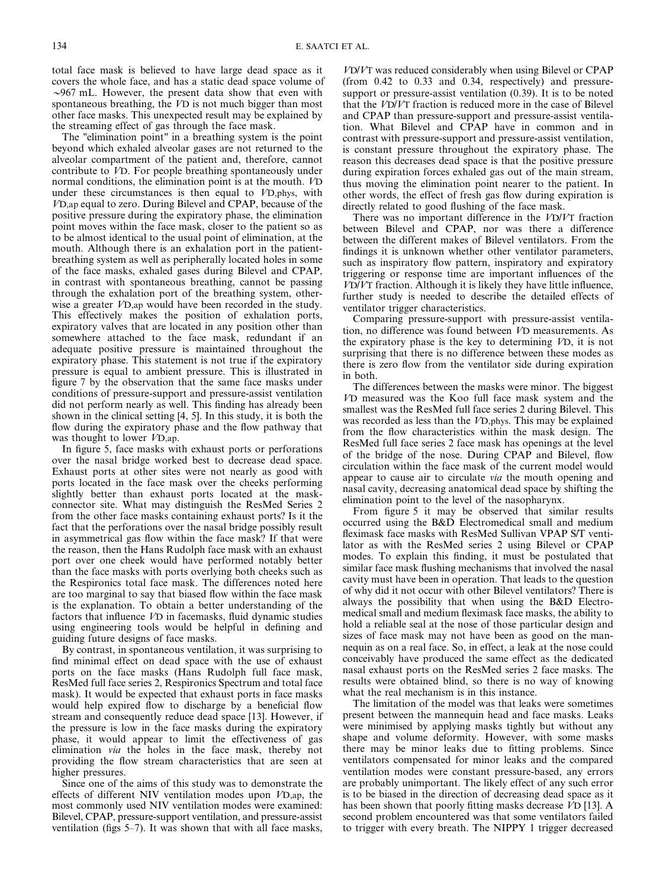total face mask is believed to have large dead space as it covers the whole face, and has a static dead space volume of ~967 mL. However, the present data show that even with spontaneous breathing, the VD is not much bigger than most other face masks. This unexpected result may be explained by the streaming effect of gas through the face mask.

The "elimination point" in a breathing system is the point beyond which exhaled alveolar gases are not returned to the alveolar compartment of the patient and, therefore, cannot contribute to VD. For people breathing spontaneously under normal conditions, the elimination point is at the mouth. VD under these circumstances is then equal to VD,phys, with VD,ap equal to zero. During Bilevel and CPAP, because of the positive pressure during the expiratory phase, the elimination point moves within the face mask, closer to the patient so as to be almost identical to the usual point of elimination, at the mouth. Although there is an exhalation port in the patientbreathing system as well as peripherally located holes in some of the face masks, exhaled gases during Bilevel and CPAP, in contrast with spontaneous breathing, cannot be passing through the exhalation port of the breathing system, otherwise a greater VD,ap would have been recorded in the study. This effectively makes the position of exhalation ports, expiratory valves that are located in any position other than somewhere attached to the face mask, redundant if an adequate positive pressure is maintained throughout the expiratory phase. This statement is not true if the expiratory pressure is equal to ambient pressure. This is illustrated in figure 7 by the observation that the same face masks under conditions of pressure-support and pressure-assist ventilation did not perform nearly as well. This finding has already been shown in the clinical setting [4, 5]. In this study, it is both the flow during the expiratory phase and the flow pathway that was thought to lower  $VD$ , ap.

In figure 5, face masks with exhaust ports or perforations over the nasal bridge worked best to decrease dead space. Exhaust ports at other sites were not nearly as good with ports located in the face mask over the cheeks performing slightly better than exhaust ports located at the maskconnector site. What may distinguish the ResMed Series 2 from the other face masks containing exhaust ports? Is it the fact that the perforations over the nasal bridge possibly result in asymmetrical gas flow within the face mask? If that were the reason, then the Hans Rudolph face mask with an exhaust port over one cheek would have performed notably better than the face masks with ports overlying both cheeks such as the Respironics total face mask. The differences noted here are too marginal to say that biased flow within the face mask is the explanation. To obtain a better understanding of the factors that influence VD in facemasks, fluid dynamic studies using engineering tools would be helpful in defining and guiding future designs of face masks.

By contrast, in spontaneous ventilation, it was surprising to find minimal effect on dead space with the use of exhaust ports on the face masks (Hans Rudolph full face mask, ResMed full face series 2, Respironics Spectrum and total face mask). It would be expected that exhaust ports in face masks would help expired flow to discharge by a beneficial flow stream and consequently reduce dead space [13]. However, if the pressure is low in the face masks during the expiratory phase, it would appear to limit the effectiveness of gas elimination via the holes in the face mask, thereby not providing the flow stream characteristics that are seen at higher pressures.

Since one of the aims of this study was to demonstrate the effects of different NIV ventilation modes upon VD,ap, the most commonly used NIV ventilation modes were examined: Bilevel, CPAP, pressure-support ventilation, and pressure-assist ventilation (figs 5–7). It was shown that with all face masks,

VD/VT was reduced considerably when using Bilevel or CPAP (from 0.42 to 0.33 and 0.34, respectively) and pressuresupport or pressure-assist ventilation (0.39). It is to be noted that the VD/VT fraction is reduced more in the case of Bilevel and CPAP than pressure-support and pressure-assist ventilation. What Bilevel and CPAP have in common and in contrast with pressure-support and pressure-assist ventilation, is constant pressure throughout the expiratory phase. The reason this decreases dead space is that the positive pressure during expiration forces exhaled gas out of the main stream, thus moving the elimination point nearer to the patient. In other words, the effect of fresh gas flow during expiration is directly related to good flushing of the face mask.

There was no important difference in the VD/VT fraction between Bilevel and CPAP, nor was there a difference between the different makes of Bilevel ventilators. From the findings it is unknown whether other ventilator parameters, such as inspiratory flow pattern, inspiratory and expiratory triggering or response time are important influences of the VD/VT fraction. Although it is likely they have little influence, further study is needed to describe the detailed effects of ventilator trigger characteristics.

Comparing pressure-support with pressure-assist ventilation, no difference was found between VD measurements. As the expiratory phase is the key to determining VD, it is not surprising that there is no difference between these modes as there is zero flow from the ventilator side during expiration in both.

The differences between the masks were minor. The biggest VD measured was the Koo full face mask system and the smallest was the ResMed full face series 2 during Bilevel. This was recorded as less than the VD,phys. This may be explained from the flow characteristics within the mask design. The ResMed full face series 2 face mask has openings at the level of the bridge of the nose. During CPAP and Bilevel, flow circulation within the face mask of the current model would appear to cause air to circulate via the mouth opening and nasal cavity, decreasing anatomical dead space by shifting the elimination point to the level of the nasopharynx.

From figure 5 it may be observed that similar results occurred using the B&D Electromedical small and medium fleximask face masks with ResMed Sullivan VPAP S/T ventilator as with the ResMed series 2 using Bilevel or CPAP modes. To explain this finding, it must be postulated that similar face mask flushing mechanisms that involved the nasal cavity must have been in operation. That leads to the question of why did it not occur with other Bilevel ventilators? There is always the possibility that when using the B&D Electromedical small and medium fleximask face masks, the ability to hold a reliable seal at the nose of those particular design and sizes of face mask may not have been as good on the mannequin as on a real face. So, in effect, a leak at the nose could conceivably have produced the same effect as the dedicated nasal exhaust ports on the ResMed series 2 face masks. The results were obtained blind, so there is no way of knowing what the real mechanism is in this instance.

The limitation of the model was that leaks were sometimes present between the mannequin head and face masks. Leaks were minimised by applying masks tightly but without any shape and volume deformity. However, with some masks there may be minor leaks due to fitting problems. Since ventilators compensated for minor leaks and the compared ventilation modes were constant pressure-based, any errors are probably unimportant. The likely effect of any such error is to be biased in the direction of decreasing dead space as it has been shown that poorly fitting masks decrease VD [13]. A second problem encountered was that some ventilators failed to trigger with every breath. The NIPPY 1 trigger decreased